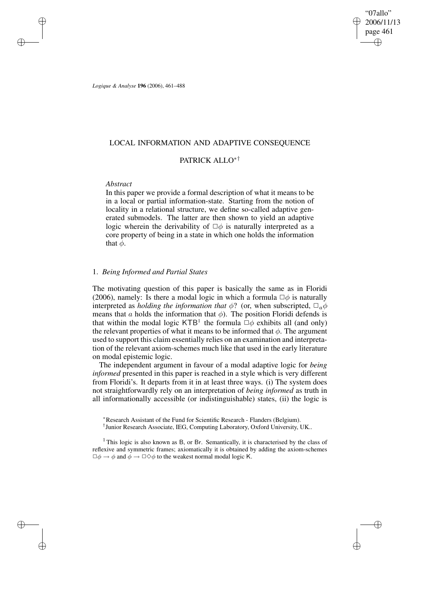"07allo" 2006/11/13 page 461 ✐ ✐

✐

✐

*Logique & Analyse* **196** (2006), 461–488

# LOCAL INFORMATION AND ADAPTIVE CONSEQUENCE

# PATRICK ALLO∗†

## *Abstract*

✐

✐

✐

✐

In this paper we provide a formal description of what it means to be in a local or partial information-state. Starting from the notion of locality in a relational structure, we define so-called adaptive generated submodels. The latter are then shown to yield an adaptive logic wherein the derivability of  $\Box \phi$  is naturally interpreted as a core property of being in a state in which one holds the information that  $\phi$ .

## 1. *Being Informed and Partial States*

The motivating question of this paper is basically the same as in Floridi (2006), namely: Is there a modal logic in which a formula  $\Box \phi$  is naturally interpreted as *holding the information that*  $\phi$ ? (or, when subscripted,  $\Box_a \phi$ means that a holds the information that  $\phi$ ). The position Floridi defends is that within the modal logic KTB<sup>1</sup> the formula  $\Box \phi$  exhibits all (and only) the relevant properties of what it means to be informed that  $\phi$ . The argument used to support this claim essentially relies on an examination and interpretation of the relevant axiom-schemes much like that used in the early literature on modal epistemic logic.

The independent argument in favour of a modal adaptive logic for *being informed* presented in this paper is reached in a style which is very different from Floridi's. It departs from it in at least three ways. (i) The system does not straightforwardly rely on an interpretation of *being informed* as truth in all informationally accessible (or indistinguishable) states, (ii) the logic is

<sup>∗</sup>Research Assistant of the Fund for Scientific Research - Flanders (Belgium). † Junior Research Associate, IEG, Computing Laboratory, Oxford University, UK..

<sup>1</sup> This logic is also known as B, or Br. Semantically, it is characterised by the class of reflexive and symmetric frames; axiomatically it is obtained by adding the axiom-schemes  $\Box \phi \rightarrow \phi$  and  $\dot{\phi} \rightarrow \Box \Diamond \phi$  to the weakest normal modal logic K.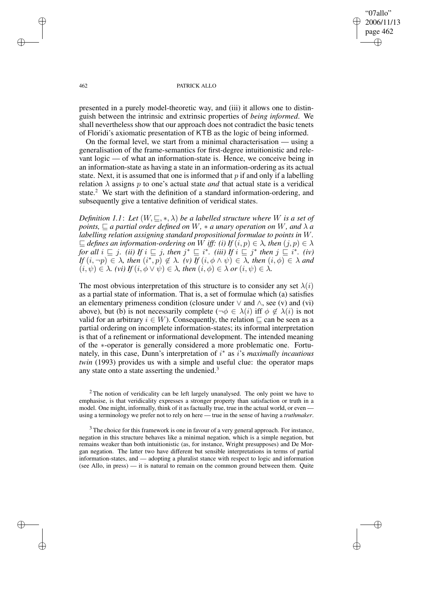"07allo" 2006/11/13 page 462 ✐ ✐

✐

✐

#### 462 PATRICK ALLO

presented in a purely model-theoretic way, and (iii) it allows one to distinguish between the intrinsic and extrinsic properties of *being informed*. We shall nevertheless show that our approach does not contradict the basic tenets of Floridi's axiomatic presentation of KTB as the logic of being informed.

On the formal level, we start from a minimal characterisation — using a generalisation of the frame-semantics for first-degree intuitionistic and relevant logic — of what an information-state is. Hence, we conceive being in an information-state as having a state in an information-ordering as its actual state. Next, it is assumed that one is informed that  $p$  if and only if a labelling relation  $\lambda$  assigns p to one's actual state *and* that actual state is a veridical state.<sup>2</sup> We start with the definition of a standard information-ordering, and subsequently give a tentative definition of veridical states.

*Definition* 1.1: Let  $(W, \subseteq, *, \lambda)$  *be a labelled structure where* W *is a set of points,*  $\sqsubseteq$  *a partial order defined on* W,  $*$  *a unary operation on* W, and  $\lambda$  *a labelling relation assigning standard propositional formulae to points in* W*.*  $\subseteq$  *defines an information-ordering on* W *iff: (i) If*  $(i, p) \in \lambda$ *, then*  $(j, p) \in \lambda$ *for all*  $i \sqsubseteq j$ *. (ii) If*  $i \sqsubseteq j$ *, then*  $j^* \sqsubseteq i^*$ *. (iii) If*  $i \sqsubseteq j^*$  *then*  $j \sqsubseteq i^*$ *. (iv)*  $If (i, \neg p) \in \lambda$ , then  $(i^*, p) \notin \lambda$ . (v) If  $(i, \phi \wedge \psi) \in \lambda$ , then  $(i, \phi) \in \lambda$  and  $(i, \psi) \in \lambda$ *. (vi)*  $If (i, \phi \vee \psi) \in \lambda$ *, then*  $(i, \phi) \in \lambda$  *or*  $(i, \psi) \in \lambda$ *.* 

The most obvious interpretation of this structure is to consider any set  $\lambda(i)$ as a partial state of information. That is, a set of formulae which (a) satisfies an elementary primeness condition (closure under  $\vee$  and  $\wedge$ , see (v) and (vi) above), but (b) is not necessarily complete ( $\neg \phi \in \lambda(i)$  iff  $\phi \notin \lambda(i)$  is not valid for an arbitrary  $i \in W$ ). Consequently, the relation  $\sqsubseteq$  can be seen as a partial ordering on incomplete information-states; its informal interpretation is that of a refinement or informational development. The intended meaning of the ∗-operator is generally considered a more problematic one. Fortunately, in this case, Dunn's interpretation of i ∗ as i's *maximally incautious twin* (1993) provides us with a simple and useful clue: the operator maps any state onto a state asserting the undenied.<sup>3</sup>

✐

✐

✐

<sup>&</sup>lt;sup>2</sup> The notion of veridicality can be left largely unanalysed. The only point we have to emphasise, is that veridicality expresses a stronger property than satisfaction or truth in a model. One might, informally, think of it as factually true, true in the actual world, or even using a terminology we prefer not to rely on here — true in the sense of having a *truthmaker*.

<sup>&</sup>lt;sup>3</sup> The choice for this framework is one in favour of a very general approach. For instance, negation in this structure behaves like a minimal negation, which is a simple negation, but remains weaker than both intuitionistic (as, for instance, Wright presupposes) and De Morgan negation. The latter two have different but sensible interpretations in terms of partial information-states, and — adopting a pluralist stance with respect to logic and information (see Allo, in press) — it is natural to remain on the common ground between them. Quite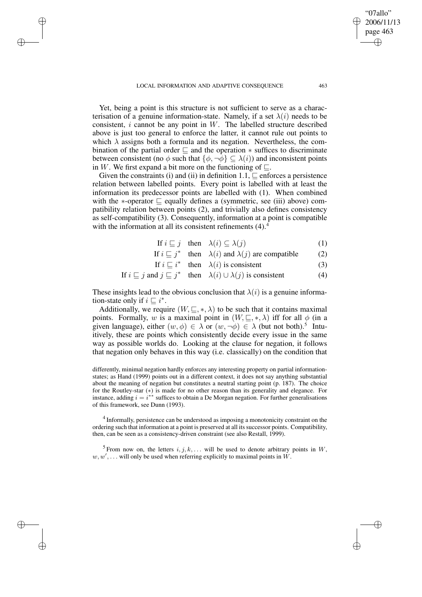✐

✐

✐

Yet, being a point is this structure is not sufficient to serve as a characterisation of a genuine information-state. Namely, if a set  $\lambda(i)$  needs to be consistent,  $i$  cannot be any point in  $W$ . The labelled structure described above is just too general to enforce the latter, it cannot rule out points to which  $\lambda$  assigns both a formula and its negation. Nevertheless, the combination of the partial order  $\sqsubseteq$  and the operation  $*$  suffices to discriminate between consistent (no  $\phi$  such that  $\{\phi, \neg \phi\} \subseteq \lambda(i)$ ) and inconsistent points in W. We first expand a bit more on the functioning of  $\Box$ .

Given the constraints (i) and (ii) in definition  $1.1$ ,  $\sqsubseteq$  enforces a persistence relation between labelled points. Every point is labelled with at least the information its predecessor points are labelled with (1). When combined with the  $*$ -operator  $\Box$  equally defines a (symmetric, see (iii) above) compatibility relation between points (2), and trivially also defines consistency as self-compatibility (3). Consequently, information at a point is compatible with the information at all its consistent refinements  $(4)$ .

$$
\text{If } i \sqsubseteq j \quad \text{then} \quad \lambda(i) \subseteq \lambda(j) \tag{1}
$$

- If  $i \sqsubseteq j^*$  then  $\lambda(i)$  and  $\lambda(j)$  are compatible (2)
- If  $i \sqsubseteq i^*$  then  $\lambda(i)$  is consistent (3)

If 
$$
i \sqsubseteq j
$$
 and  $j \sqsubseteq j^*$  then  $\lambda(i) \cup \lambda(j)$  is consistent (4)

These insights lead to the obvious conclusion that  $\lambda(i)$  is a genuine information-state only if  $i \sqsubseteq i^*$ .

Additionally, we require  $(W, \subseteq, *, \lambda)$  to be such that it contains maximal points. Formally, w is a maximal point in  $(W, \subseteq, *, \lambda)$  iff for all  $\phi$  (in a given language), either  $(w, \phi) \in \lambda$  or  $(w, \neg \phi) \in \lambda$  (but not both).<sup>5</sup> Intuitively, these are points which consistently decide every issue in the same way as possible worlds do. Looking at the clause for negation, it follows that negation only behaves in this way (i.e. classically) on the condition that

differently, minimal negation hardly enforces any interesting property on partial informationstates; as Hand (1999) points out in a different context, it does not say anything substantial about the meaning of negation but constitutes a neutral starting point (p. 187). The choice for the Routley-star (\*) is made for no other reason than its generality and elegance. For instance, adding  $i = i^{**}$  suffices to obtain a De Morgan negation. For further generalisations of this framework, see Dunn (1993).

 $4$  Informally, persistence can be understood as imposing a monotonicity constraint on the ordering such that information at a point is preserved at all itssuccessor points. Compatibility, then, can be seen as a consistency-driven constraint (see also Restall, 1999).

<sup>5</sup> From now on, the letters  $i, j, k, \ldots$  will be used to denote arbitrary points in W,  $w, w', \ldots$  will only be used when referring explicitly to maximal points in W.

"07allo" 2006/11/13 page 463

✐

✐

✐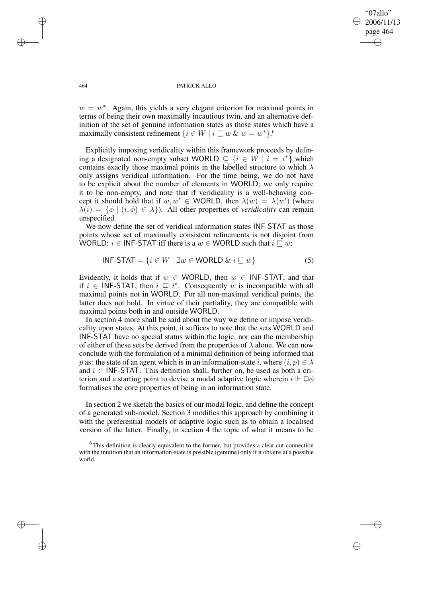✐

#### 464 PATRICK ALLO

 $w = w^*$ . Again, this yields a very elegant criterion for maximal points in terms of being their own maximally incautious twin, and an alternative definition of the set of genuine information states as those states which have a maximally consistent refinement  $\{i \in W \mid i \sqsubseteq w \ \& \ w = w^*\}.^6$ 

Explicitly imposing veridicality within this framework proceeds by defining a designated non-empty subset WORLD  $\subseteq$   $\{i \in \hat{W} \mid i = i^*\}$  which contains exactly those maximal points in the labelled structure to which  $\lambda$ only assigns veridical information. For the time being, we do not have to be explicit about the number of elements in WORLD; we only require it to be non-empty, and note that if veridicality is a well-behaving concept it should hold that if  $w, w' \in WORLD$ , then  $\lambda(w) = \lambda(w')$  (where  $\lambda(i) = \{\phi \mid (i, \phi) \in \lambda\}$ . All other properties of *veridicality* can remain unspecified.

We now define the set of veridical information states INF-STAT as those points whose set of maximally consistent refinements is not disjoint from WORLD:  $i \in \text{INF-STAT}$  iff there is a  $w \in \text{WORLD}$  such that  $i \subseteq w$ :

$$
INF-STAT = \{ i \in W \mid \exists w \in WORLD \& i \sqsubseteq w \}
$$
 (5)

Evidently, it holds that if  $w \in \text{WORD}$ , then  $w \in \text{INF-STAT}$ , and that if  $i \in \textsf{INF-STAT}$ , then  $i \subseteq i^*$ . Consequently w is incompatible with all maximal points not in WORLD. For all non-maximal veridical points, the latter does not hold. In virtue of their partiality, they are compatible with maximal points both in and outside WORLD.

In section 4 more shall be said about the way we define or impose veridicality upon states. At this point, it suffices to note that the sets WORLD and INF-STAT have no special status within the logic, nor can the membership of either of these sets be derived from the properties of  $\lambda$  alone. We can now conclude with the formulation of a minimal definition of being informed that p as: the state of an agent which is in an information-state i, where  $(i, p) \in \lambda$ and  $i \in \text{INF-STAT}$ . This definition shall, further on, be used as both a criterion and a starting point to devise a modal adaptive logic wherein  $i \Vdash \Box \phi$ formalises the core properties of being in an information state.

In section 2 we sketch the basics of our modal logic, and define the concept of a generated sub-model. Section 3 modifies this approach by combining it with the preferential models of adaptive logic such as to obtain a localised version of the latter. Finally, in section 4 the topic of what it means to be

✐

✐

✐

<sup>&</sup>lt;sup>6</sup> This definition is clearly equivalent to the former, but provides a clear-cut connection with the intuition that an information-state is possible (genuine) only if it obtains at a possible world.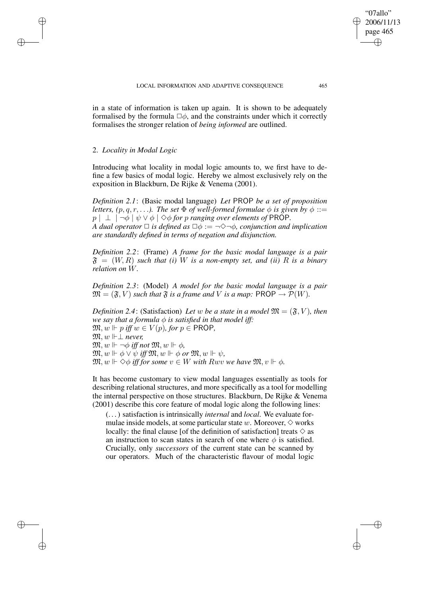in a state of information is taken up again. It is shown to be adequately formalised by the formula  $\square \phi$ , and the constraints under which it correctly formalises the stronger relation of *being informed* are outlined.

## 2. *Locality in Modal Logic*

✐

✐

✐

✐

Introducing what locality in modal logic amounts to, we first have to define a few basics of modal logic. Hereby we almost exclusively rely on the exposition in Blackburn, De Rijke & Venema (2001).

*Definition 2.1*: (Basic modal language) *Let* PROP *be a set of proposition letters,*  $(p, q, r, \ldots)$ *. The set*  $\Phi$  *of well-formed formulae*  $\phi$  *is given by*  $\phi$  ::=  $p \mid \perp \mid \neg \phi \mid \psi \vee \phi \mid \Diamond \phi$  *for p ranging over elements of* PROP. *A dual operator*  $\Box$  *is defined as*  $\Box \phi := \neg \Diamond \neg \phi$ *, conjunction and implication are standardly defined in terms of negation and disjunction.*

*Definition 2.2*: (Frame) *A frame for the basic modal language is a pair*  $\mathfrak{F} = (W, R)$  *such that (i)* W *is a non-empty set, and (ii)* R *is a binary relation on* W*.*

*Definition 2.3*: (Model) *A model for the basic modal language is a pair*  $\mathfrak{M} = (\mathfrak{F}, V)$  *such that*  $\mathfrak{F}$  *is a frame and* V *is a map:* PROP  $\rightarrow \mathcal{P}(W)$ *.* 

*Definition* 2.4: (Satisfaction) Let w be a state in a model  $\mathfrak{M} = (\mathfrak{F}, V)$ , then *we say that a formula*  $\phi$  *is satisfied in that model iff:*  $\mathfrak{M}, w \Vdash p$  *iff*  $w \in V(p)$ *, for*  $p \in \text{PROP}$ *,*  $\mathfrak{M}, w \Vdash \perp$  *never*,  $\mathfrak{M}, w \Vdash \neg \phi$  *iff not*  $\mathfrak{M}, w \Vdash \phi$ ,  $\mathfrak{M}, w \Vdash \phi \lor \psi$  *iff*  $\mathfrak{M}, w \Vdash \phi$  or  $\mathfrak{M}, w \Vdash \psi$ .  $\mathfrak{M}, w \Vdash \diamond \phi$  *iff for some*  $v \in W$  *with Rwv we have*  $\mathfrak{M}, v \Vdash \phi$ .

It has become customary to view modal languages essentially as tools for describing relational structures, and more specifically as a tool for modelling the internal perspective on those structures. Blackburn, De Rijke & Venema (2001) describe this core feature of modal logic along the following lines:

(. . .) satisfaction is intrinsically *internal* and *local*. We evaluate formulae inside models, at some particular state w. Moreover,  $\diamond$  works locally: the final clause [of the definition of satisfaction] treats  $\diamond$  as an instruction to scan states in search of one where  $\phi$  is satisfied. Crucially, only *successors* of the current state can be scanned by our operators. Much of the characteristic flavour of modal logic

"07allo" 2006/11/13 page 465

✐

✐

✐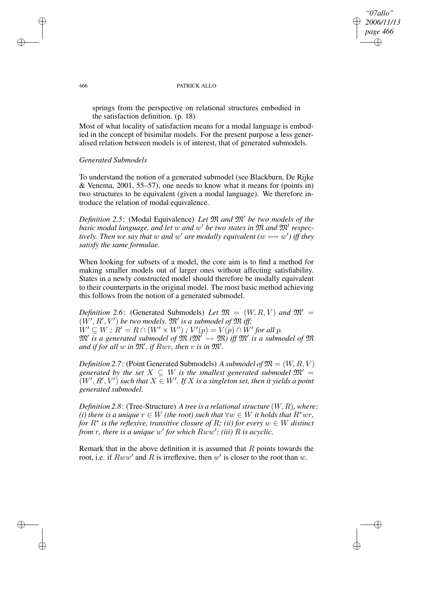*"07allo" 2006/11/13 page 466* ✐ ✐

✐

#### 466 PATRICK ALLO

springs from the perspective on relational structures embodied in the satisfaction definition. (p. 18)

Most of what locality of satisfaction means for a modal language is embodied in the concept of bisimilar models. For the present purpose a less generalised relation between models is of interest, that of generated submodels.

### *Generated Submodels*

To understand the notion of a generated submodel (see Blackburn, De Rijke & Venema, 2001, 55–57), one needs to know what it means for (points in) two structures to be equivalent (given a modal language). We therefore introduce the relation of modal equivalence.

*Definition* 2.5: (Modal Equivalence) *Let*  $\mathfrak{M}$  *and*  $\mathfrak{M}'$  *be two models of the basic modal language, and let* w *and* w <sup>0</sup> *be two states in* M *and* M<sup>0</sup> *respectively. Then we say that w and w' are modally equivalent*  $(w \leftrightarrow w')$  *iff they satisfy the same formulae.*

When looking for subsets of a model, the core aim is to find a method for making smaller models out of larger ones without affecting satisfiability. States in a newly constructed model should therefore be modally equivalent to their counterparts in the original model. The most basic method achieving this follows from the notion of a generated submodel.

*Definition* 2.6: (Generated Submodels) *Let*  $\mathfrak{M} = (W, R, V)$  *and*  $\mathfrak{M}' =$  $(W', R', V')$  be two models.  $\mathfrak{M}'$  is a submodel of  $\mathfrak{M}$  iff:  $W' \subseteq W$ ;  $R' = R \cap (W' \times W')$ ;  $V'(p) = V(p) \cap W'$  for all  $p$ .  $\mathfrak{M}'$  is a generated submodel of  $\mathfrak{M}' \rightarrow \mathfrak{M}$  iff  $\mathfrak{M}'$  is a submodel of  $\mathfrak{M}$ and if for all  $w$  in  $\mathfrak{M}'$ , if  $Rwv$ , then  $v$  is in  $\mathfrak{M}'$ .

*Definition* 2.7: (Point Generated Submodels) *A submodel of*  $\mathfrak{M} = (W, R, V)$ *generated* by the set  $X \subseteq W$  *is the smallest generated submodel*  $\mathfrak{M}' =$  $(W', R', V')$  such that  $X \in W'$ . If  $X$  is a singleton set, then it yields a point *generated submodel.*

*Definition 2.8*: (Tree-Structure) *A tree is a relationalstructure* (W, R)*, where: (i) there is a unique*  $r \in W$  *(the root) such that*  $\forall w \in W$  *it holds that*  $R^*wr$ , *for* R<sup>∗</sup> *is the reflexive, transitive closure of* R*; (ii) for every* w ∈ W *distinct from* r, there is a unique w' for which  $Rww'$ ; (iii) R is acyclic.

Remark that in the above definition it is assumed that  $R$  points towards the root, i.e. if  $Rww'$  and R is irreflexive, then w' is closer to the root than w.

✐

✐

✐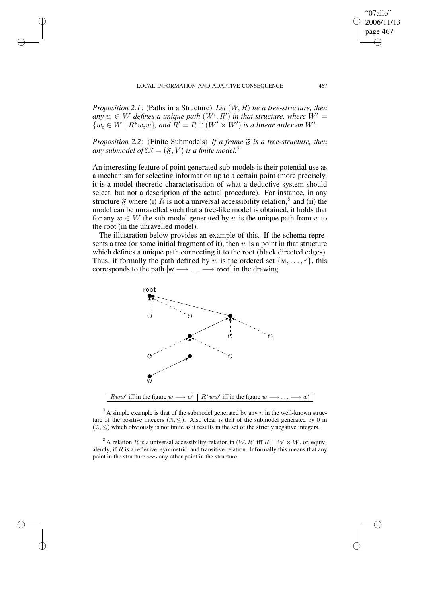✐

✐

✐

✐

*Proposition 2.1*: (Paths in a Structure) *Let* (W, R) *be a tree-structure, then*  $a_n$ ,  $m \in W$  *defines a unique path*  $(W', R')$  *in that structure, where*  $W' =$  $\{w_i \in W \mid R^*w_iw\}$ , and  $R' = R \cap (W' \times W')$  is a linear order on W'.

*Proposition* 2.2: (Finite Submodels) *If a frame*  $\tilde{\mathfrak{F}}$  *is a tree-structure, then any submodel of*  $\mathfrak{M} = (\mathfrak{F}, V)$  *is a finite model.*<sup>7</sup>

An interesting feature of point generated sub-models is their potential use as a mechanism for selecting information up to a certain point (more precisely, it is a model-theoretic characterisation of what a deductive system should select, but not a description of the actual procedure). For instance, in any structure  $\mathfrak F$  where (i) R is not a universal accessibility relation,<sup>8</sup> and (ii) the model can be unravelled such that a tree-like model is obtained, it holds that for any  $w \in W$  the sub-model generated by w is the unique path from w to the root (in the unravelled model).

The illustration below provides an example of this. If the schema represents a tree (or some initial fragment of it), then  $w$  is a point in that structure which defines a unique path connecting it to the root (black directed edges). Thus, if formally the path defined by w is the ordered set  $\{w, \ldots, r\}$ , this corresponds to the path  $[w \longrightarrow ... \longrightarrow root]$  in the drawing.



 ${}^{7}$ A simple example is that of the submodel generated by any n in the well-known structure of the positive integers  $(N, \leq)$ . Also clear is that of the submodel generated by 0 in  $(\mathbb{Z}, \leq)$  which obviously is not finite as it results in the set of the strictly negative integers.

<sup>8</sup> A relation R is a universal accessibility-relation in  $(W, R)$  iff  $R = W \times W$ , or, equivalently, if  $R$  is a reflexive, symmetric, and transitive relation. Informally this means that any point in the structure *sees* any other point in the structure.

"07allo" 2006/11/13 page 467

✐

✐

✐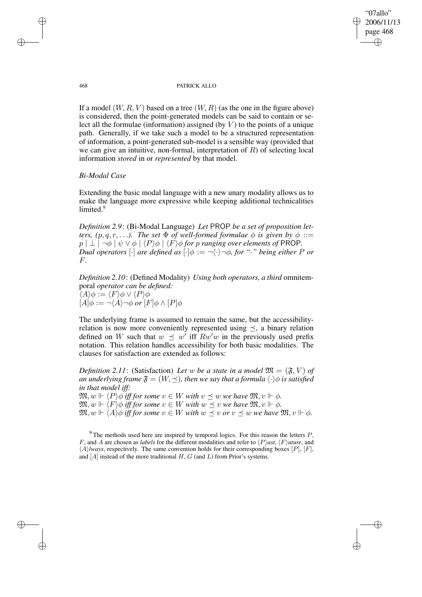"07allo" 2006/11/13 page 468 ✐ ✐

✐

✐

#### 468 PATRICK ALLO

If a model  $(W, R, V)$  based on a tree  $(W, R)$  (as the one in the figure above) is considered, then the point-generated models can be said to contain or select all the formulae (information) assigned (by  $V$ ) to the points of a unique path. Generally, if we take such a model to be a structured representation of information, a point-generated sub-model is a sensible way (provided that we can give an intuitive, non-formal, interpretation of  $R$ ) of selecting local information *stored* in or *represented* by that model.

# *Bi-Modal Case*

Extending the basic modal language with a new unary modality allows us to make the language more expressive while keeping additional technicalities limited.<sup>9</sup>

*Definition 2.9*: (Bi-Modal Language) *Let* PROP *be a set of proposition letters,*  $(p, q, r, \ldots)$ *. The set*  $\Phi$  *of well-formed formulae*  $\phi$  *is given by*  $\phi$  ::=  $p \mid \perp \mid \neg \phi \mid \psi \vee \phi \mid \langle P \rangle \phi \mid \langle F \rangle \phi$  *for p ranging over elements of* PROP. *Dual operators*  $\lceil \cdot \rceil$  *are defined as*  $\lceil \cdot \rceil \phi := \lceil \cdot \rceil \lceil \cdot \phi \rceil$ *, for "·" being either P or* F*.*

*Definition 2.10*: (Defined Modality) *Using both operators, a third* omnitemporal *operator can be defined:*  $\langle A \rangle \phi := \langle F \rangle \phi \vee \langle P \rangle \phi$  $[A]\phi := \neg \langle A \rangle \neg \phi \text{ or } [F] \phi \wedge [P] \phi$ 

The underlying frame is assumed to remain the same, but the accessibilityrelation is now more conveniently represented using  $\preceq$ , a binary relation defined on W such that  $w \preceq w'$  iff  $Rw'w$  in the previously used prefix notation. This relation handles accessibility for both basic modalities. The clauses for satisfaction are extended as follows:

*Definition* 2.11: (Satisfaction) Let w be a state in a model  $\mathfrak{M} = (\mathfrak{F}, V)$  of *an underlying frame*  $\mathfrak{F} = (W, \preceq)$ *, then we say that a formula*  $\langle \cdot \rangle \phi$  *is satisfied in that model iff:*

 $\mathfrak{M}, w \Vdash \langle P \rangle \phi$  *iff for some*  $v \in W$  *with*  $v \preceq w$  *we have*  $\mathfrak{M}, v \Vdash \phi$ *.*  $\mathfrak{M}, w \Vdash \langle F \rangle \phi$  *iff for some*  $v \in W$  *with*  $w \preceq v$  *we have*  $\mathfrak{M}, v \Vdash \phi$ *.*  $\mathfrak{M}, w \Vdash \langle A \rangle \phi$  *iff for some*  $v \in W$  *with*  $w \preceq v$  *or*  $v \preceq w$  *we have*  $\mathfrak{M}, v \Vdash \phi$ *.* 

 $9$ The methods used here are inspired by temporal logics. For this reason the letters  $P$ , F, and A are chosen as *labels* for the different modalities and refer to  $\langle P \rangle$ *ast*,  $\langle F \rangle$ *uture*, and  $\langle A \rangle$ *lways*, respectively. The same convention holds for their corresponding boxes [P], [F], and  $[A]$  instead of the more traditional  $H, G$  (and  $L$ ) from Prior's systems.

✐

✐

✐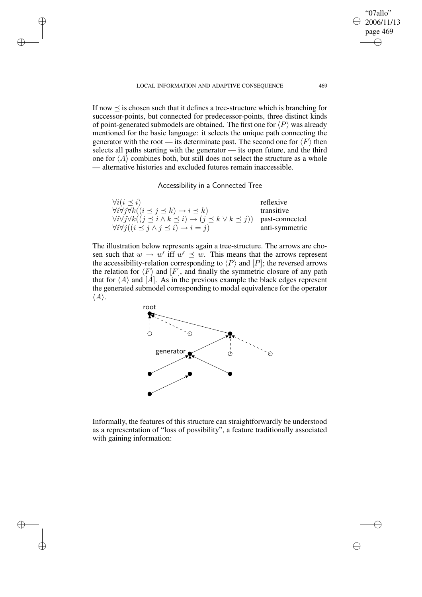✐

✐

✐

✐

"07allo" 2006/11/13 page 469

✐

✐

✐

✐

If now  $\prec$  is chosen such that it defines a tree-structure which is branching for successor-points, but connected for predecessor-points, three distinct kinds of point-generated submodels are obtained. The first one for  $\langle P \rangle$  was already mentioned for the basic language: it selects the unique path connecting the generator with the root — its determinate past. The second one for  $\langle F \rangle$  then selects all paths starting with the generator — its open future, and the third one for  $\langle A \rangle$  combines both, but still does not select the structure as a whole — alternative histories and excluded futures remain inaccessible.

Accessibility in a Connected Tree

| $\forall i (i \preceq i)$                                                                                       | reflexive      |
|-----------------------------------------------------------------------------------------------------------------|----------------|
| $\forall i \forall j \forall k ((i \preceq j \preceq k) \rightarrow i \preceq k)$                               | transitive     |
| $\forall i \forall j \forall k ((j \leq i \land k \leq i) \rightarrow (j \leq k \lor k \leq j))$ past-connected |                |
| $\forall i \forall j ((i \preceq j \land j \preceq i) \rightarrow i = j)$                                       | anti-symmetric |

The illustration below represents again a tree-structure. The arrows are chosen such that  $w \to w'$  iff  $w' \preceq w$ . This means that the arrows represent the accessibility-relation corresponding to  $\langle P \rangle$  and  $[P]$ ; the reversed arrows the relation for  $\langle F \rangle$  and  $[F]$ , and finally the symmetric closure of any path that for  $\langle A \rangle$  and [A]. As in the previous example the black edges represent the generated submodel corresponding to modal equivalence for the operator  $\langle A \rangle$ .



Informally, the features of this structure can straightforwardly be understood as a representation of "loss of possibility", a feature traditionally associated with gaining information: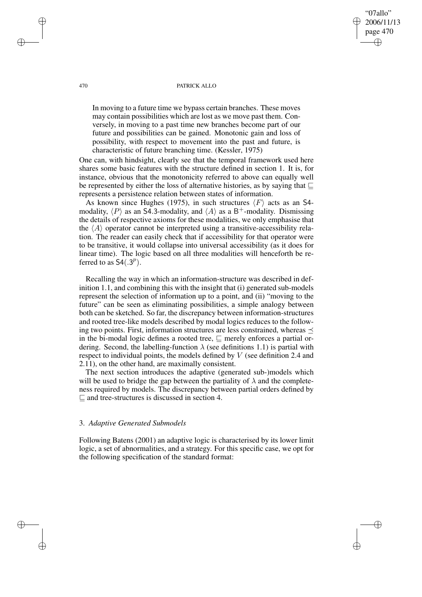#### 470 PATRICK ALLO

"07allo" 2006/11/13 page 470

✐

✐

✐

✐

In moving to a future time we bypass certain branches. These moves may contain possibilities which are lost as we move past them. Conversely, in moving to a past time new branches become part of our future and possibilities can be gained. Monotonic gain and loss of possibility, with respect to movement into the past and future, is characteristic of future branching time. (Kessler, 1975)

One can, with hindsight, clearly see that the temporal framework used here shares some basic features with the structure defined in section 1. It is, for instance, obvious that the monotonicity referred to above can equally well be represented by either the loss of alternative histories, as by saying that  $\sqsubseteq$ represents a persistence relation between states of information.

As known since Hughes (1975), in such structures  $\langle F \rangle$  acts as an S4modality,  $\langle P \rangle$  as an S4.3-modality, and  $\langle A \rangle$  as a B<sup>+</sup>-modality. Dismissing the details of respective axioms for these modalities, we only emphasise that the  $\langle A \rangle$  operator cannot be interpreted using a transitive-accessibility relation. The reader can easily check that if accessibility for that operator were to be transitive, it would collapse into universal accessibility (as it does for linear time). The logic based on all three modalities will henceforth be referred to as  $S4(.3<sup>p</sup>)$ .

Recalling the way in which an information-structure was described in definition 1.1, and combining this with the insight that (i) generated sub-models represent the selection of information up to a point, and (ii) "moving to the future" can be seen as eliminating possibilities, a simple analogy between both can be sketched. So far, the discrepancy between information-structures and rooted tree-like models described by modal logics reduces to the following two points. First, information structures are less constrained, whereas  $\prec$ in the bi-modal logic defines a rooted tree,  $\sqsubseteq$  merely enforces a partial ordering. Second, the labelling-function  $\lambda$  (see definitions 1.1) is partial with respect to individual points, the models defined by V (see definition 2.4 and 2.11), on the other hand, are maximally consistent.

The next section introduces the adaptive (generated sub-)models which will be used to bridge the gap between the partiality of  $\lambda$  and the completeness required by models. The discrepancy between partial orders defined by  $\sqsubseteq$  and tree-structures is discussed in section 4.

## 3. *Adaptive Generated Submodels*

Following Batens (2001) an adaptive logic is characterised by its lower limit logic, a set of abnormalities, and a strategy. For this specific case, we opt for the following specification of the standard format:

✐

✐

✐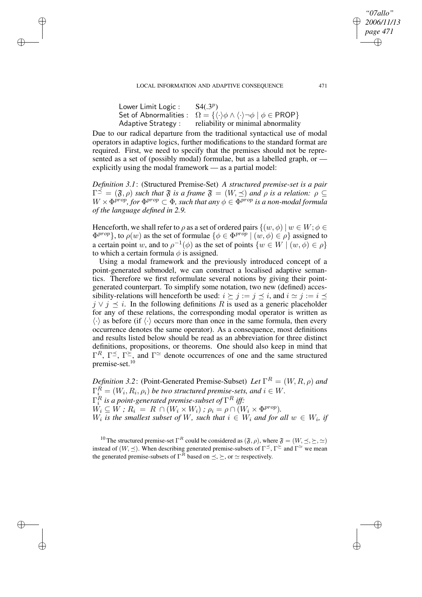✐

✐

✐

✐

| Lower Limit Logic : | S4(.3 <sup>p</sup> )                                                                                                                |
|---------------------|-------------------------------------------------------------------------------------------------------------------------------------|
|                     | Set of Abnormalities : $\Omega = \{ \langle \cdot \rangle \phi \wedge \langle \cdot \rangle \neg \phi \mid \phi \in \text{PROP} \}$ |
| Adaptive Strategy : | reliability or minimal abnormality                                                                                                  |

Due to our radical departure from the traditional syntactical use of modal operators in adaptive logics, further modifications to the standard format are required. First, we need to specify that the premises should not be represented as a set of (possibly modal) formulae, but as a labelled graph, or explicitly using the modal framework — as a partial model:

*Definition 3.1*: (Structured Premise-Set) *A structured premise-set is a pair*  $\Gamma^{\preceq} = (\mathfrak{F}, \rho)$  *such that*  $\mathfrak{F}$  *is a frame*  $\mathfrak{F} = (W, \preceq)$  *and*  $\rho$  *is a relation:*  $\rho \subseteq$  $W \times \Phi^{prop}$  *for*  $\Phi^{prop} \subset \Phi$ *, such that any*  $\phi \in \Phi^{prop}$  *is a non-modal formula of the language defined in 2.9.*

Henceforth, we shall refer to  $\rho$  as a set of ordered pairs  $\{(w, \phi) | w \in W; \phi \in$  $\{\Phi^{prop}\},\$  to  $\rho(w)$  as the set of formulae  $\{\phi \in \Phi^{prop} \mid (w, \phi) \in \rho\}$  assigned to a certain point w, and to  $\rho^{-1}(\phi)$  as the set of points  $\{w \in W \mid (w, \phi) \in \rho\}$ to which a certain formula  $\phi$  is assigned.

Using a modal framework and the previously introduced concept of a point-generated submodel, we can construct a localised adaptive semantics. Therefore we first reformulate several notions by giving their pointgenerated counterpart. To simplify some notation, two new (defined) accessibility-relations will henceforth be used:  $i \succeq j := j \preceq i$ , and  $i \simeq j := i \preceq j$  $j \vee j \preceq i$ . In the following definitions R is used as a generic placeholder for any of these relations, the corresponding modal operator is written as  $\langle \cdot \rangle$  as before (if  $\langle \cdot \rangle$  occurs more than once in the same formula, then every occurrence denotes the same operator). As a consequence, most definitions and results listed below should be read as an abbreviation for three distinct definitions, propositions, or theorems. One should also keep in mind that  $\Gamma^R$ ,  $\Gamma^{\leq}$ ,  $\Gamma^{\geq}$ , and  $\Gamma^{\simeq}$  denote occurrences of one and the same structured premise-set.<sup>10</sup>

*Definition* 3.2: (Point-Generated Premise-Subset) *Let*  $\Gamma^R = (W, R, \rho)$  and  $\Gamma_{i}^{R} = (W_{i}, R_{i}, \rho_{i})$  be two structured premise-sets, and  $i \in W$ .  $\Gamma^R_i$  is a point-generated premise-subset of  $\Gamma^R$  iff:  $W_i \subseteq W$ ;  $R_i = R \cap (W_i \times W_i)$ ;  $\rho_i = \rho \cap (W_i \times \Phi^{prop}).$  $W_i$  is the smallest subset of W, such that  $i \in W_i$  and for all  $w \in W_i$ , if

<sup>10</sup> The structured premise-set  $\Gamma^R$  could be considered as  $(\mathfrak{F}, \rho)$ , where  $\mathfrak{F} = (W, \preceq, \succeq, \simeq)$ instead of  $(W, \preceq)$ . When describing generated premise-subsets of  $\Gamma^{\preceq}$ ,  $\Gamma^{\succeq}$  and  $\Gamma^{\simeq}$  we mean the generated premise-subsets of  $\Gamma^R$  based on  $\leq, \geq$ , or  $\simeq$  respectively.

*"07allo" 2006/11/13 page 471*

✐

✐

✐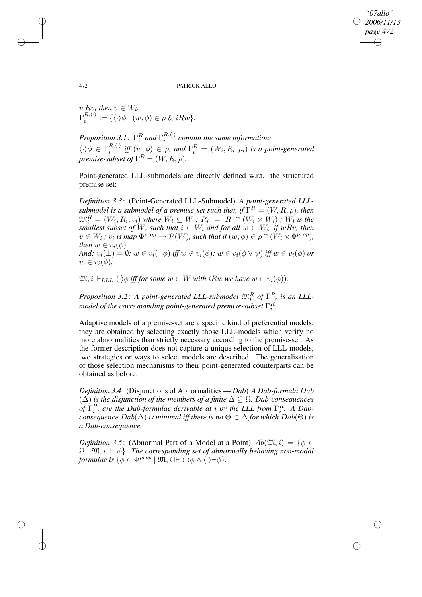*"07allo" 2006/11/13 page 472* ✐ ✐

✐

✐

#### 472 PATRICK ALLO

 $wRv$ *, then*  $v \in W_i$ *.*  $\Gamma^{R,\langle\cdot\rangle}_i$  $i^{(n,\langle \cdot \rangle)} := {\{\langle \cdot \rangle \phi \mid (w,\phi) \in \rho \& iRw\}.}$ 

*Proposition* 3.1:  $\Gamma_i^R$  and  $\Gamma_i^{R,\langle \cdot \rangle}$  $i_i^{(k, \vee)}$  *contain the same information:*  $\langle \cdot \rangle \phi \in \Gamma_i^{R,\langle \cdot \rangle}$  $\int_i^{R(\cdot)}$  *iff*  $(w, \phi) \in \rho_i$  and  $\Gamma_i^R = (W_i, R_i, \rho_i)$  *is a point-generated premise-subset of*  $\Gamma^R = (W, R, \rho)$ *.* 

Point-generated LLL-submodels are directly defined w.r.t. the structured premise-set:

*Definition 3.3*: (Point-Generated LLL-Submodel) *A point-generated LLLsubmodel is a submodel of a premise-set such that, if*  $\Gamma^R = (W, R, \rho)$ *, then*  $\mathfrak{M}_i^R = (W_i, R_i, v_i)$  where  $W_i \subseteq W$  ;  $R_i = R \cap (W_i \times W_i)$  ;  $W_i$  is the *smallest subset of* W, *such that*  $i \in W_i$  *and for all*  $w \in W_i$ *, if*  $wRv$ *, then*  $v \in W_i$ ;  $v_i$  *is map*  $\Phi^{prop} \to \mathcal{P}(W)$ *, such that if*  $(w, \phi) \in \rho \cap (W_i \times \Phi^{prop})$ *, then*  $w \in v_i(\phi)$ . *And:*  $v_i(\perp) = \emptyset$ ;  $w \in v_i(\neg \phi)$  *iff*  $w \notin v_i(\phi)$ ;  $w \in v_i(\phi \vee \psi)$  *iff*  $w \in v_i(\phi)$  *or* 

 $w \in v_i(\phi)$ .

 $\mathfrak{M}, i \Vdash_{\mathit{LLL}} \langle \cdot \rangle \phi$  *iff for some*  $w \in W$  *with*  $iRw$  *we have*  $w \in v_i(\phi)$ *).* 

*Proposition* 3.2: *A point-generated LLL-submodel*  $\mathfrak{M}_i^R$  *of*  $\Gamma_{\square}^R$ *, is an LLL*model of the corresponding point-generated premise-subset  $\Gamma^R_i.$ 

Adaptive models of a premise-set are a specific kind of preferential models, they are obtained by selecting exactly those LLL-models which verify no more abnormalities than strictly necessary according to the premise-set. As the former description does not capture a unique selection of LLL-models, two strategies or ways to select models are described. The generalisation of those selection mechanisms to their point-generated counterparts can be obtained as before:

*Definition 3.4*: (Disjunctions of Abnormalities — *Dab*) *A Dab-formula* Dab (∆) *is the disjunction of the members of a finite* ∆ ⊆ Ω*. Dab-consequences of*  $\Gamma_i^R$ *, are the Dab-formulae derivable at i by the LLL from*  $\Gamma_i^R$ *. A Dabconsequence*  $Dab(\Delta)$  *is minimal iff there is no*  $\Theta \subset \Delta$  *for which*  $Dab(\Theta)$  *is a Dab-consequence.*

*Definition* 3.5: (Abnormal Part of a Model at a Point)  $Ab(\mathfrak{M},i) = \{ \phi \in$  $\Omega$  |  $\mathfrak{M}, i \Vdash \phi$ }. The corresponding set of abnormally behaving non-modal *formulae* is  $\{ \phi \in \Phi^{prop} \mid \mathfrak{M}, i \Vdash \langle \cdot \rangle \phi \wedge \langle \cdot \rangle \neg \phi \}.$ 

✐

✐

✐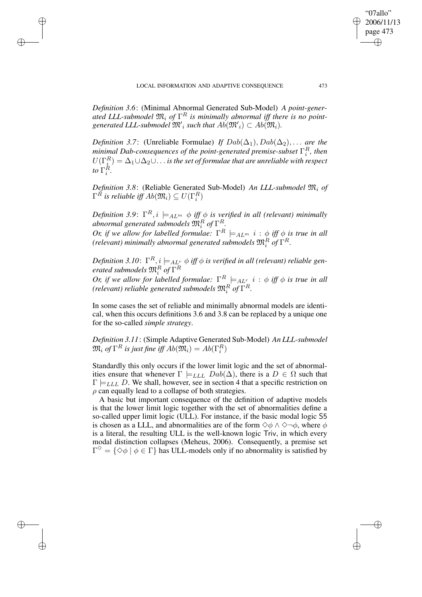✐

✐

✐

✐

*Definition 3.6*: (Minimal Abnormal Generated Sub-Model) *A point-generated LLL-submodel* M<sup>i</sup> *of* Γ <sup>R</sup> *is minimally abnormal iff there is no point*generated LLL-submodel  $\mathfrak{M'}_i$  such that  $Ab(\mathfrak{M'}_i)\subset Ab(\mathfrak{M}_i)$ .

*Definition* 3.7: (Unreliable Formulae) *If*  $Dab(\Delta_1)$ ,  $Dab(\Delta_2)$ , ... *are the minimal Dab-consequences of the point-generated premise-subset* Γ R *, then*  $U(\Gamma^R_{\underline{i}}) = \Delta_1 \cup \Delta_2 \cup \ldots$  is the set of formulae that are unreliable with respect *to*  $\Gamma_i^R$ .

*Definition 3.8*: (Reliable Generated Sub-Model) *An LLL-submodel* M<sup>i</sup> *of*  $\Gamma^R$  is reliable iff  $Ab(\mathfrak{M}_i) \subseteq U(\Gamma^R_i)$ 

 $Definition 3.9: \Gamma^R, i \models_{AL^m} \phi \text{ iff } \phi \text{ is verified in all (relevant) minimally}$  $a$ bnormal generated submodels  $\mathfrak{M}^{R}_{i}$  of  $\Gamma^{R}_{i}$ . *Or, if we allow for labelled formulae:*  $\Gamma^R \models_{AL^m} i : \phi$  *iff*  $\phi$  *is true in all* 

(relevant) minimally abnormal generated submodels  $\mathfrak{M}^{R}_{i}$  of  $\Gamma^{R}_{i}$ .

 $D$ efinition 3.10:  $\Gamma^R, i \models_{AL^r} \phi$  iff  $\phi$  is verified in all (relevant) reliable gen $e$ rated submodels  $\mathfrak{M}_i^R$  of  $\Gamma^R$ i

*Or, if we allow for labelled formulae:*  $\Gamma^R \models_{AL^r} i : \phi$  *iff*  $\phi$  *is true in all* (relevant) reliable generated submodels  $\mathfrak{M}^{R}_{i}$  of  $\Gamma^R.$ 

In some cases the set of reliable and minimally abnormal models are identical, when this occurs definitions 3.6 and 3.8 can be replaced by a unique one for the so-called *simple strategy*.

*Definition 3.11*: (Simple Adaptive Generated Sub-Model) *An LLL-submodel*  $\mathfrak{M}_i$  of  $\Gamma^R$  is just fine iff  $Ab(\mathfrak{M}_i)=Ab(\Gamma^R_i)$ 

Standardly this only occurs if the lower limit logic and the set of abnormalities ensure that whenever  $\Gamma \models$ <sub>LLL</sub>  $Dab(\Delta)$ , there is a  $D \in \Omega$  such that  $\Gamma \models$ <sub>LLL</sub> D. We shall, however, see in section 4 that a specific restriction on  $\rho$  can equally lead to a collapse of both strategies.

A basic but important consequence of the definition of adaptive models is that the lower limit logic together with the set of abnormalities define a so-called upper limit logic (ULL). For instance, if the basic modal logic S5 is chosen as a LLL, and abnormalities are of the form  $\diamond \phi \land \lozenge \neg \phi$ , where  $\phi$ is a literal, the resulting ULL is the well-known logic Triv, in which every modal distinction collapses (Meheus, 2006). Consequently, a premise set  $\Gamma^{\diamondsuit} = \{ \diamond \phi \mid \phi \in \Gamma \}$  has ULL-models only if no abnormality is satisfied by

"07allo" 2006/11/13 page 473

✐

✐

✐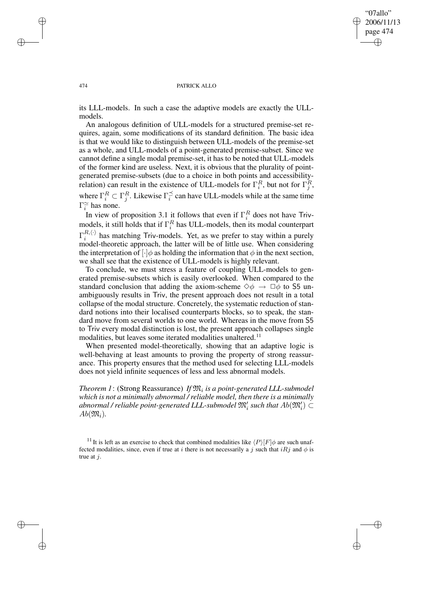✐

#### 474 PATRICK ALLO

its LLL-models. In such a case the adaptive models are exactly the ULLmodels.

An analogous definition of ULL-models for a structured premise-set requires, again, some modifications of its standard definition. The basic idea is that we would like to distinguish between ULL-models of the premise-set as a whole, and ULL-models of a point-generated premise-subset. Since we cannot define a single modal premise-set, it has to be noted that ULL-models of the former kind are useless. Next, it is obvious that the plurality of pointgenerated premise-subsets (due to a choice in both points and accessibilityrelation) can result in the existence of ULL-models for  $\Gamma_i^R$ , but not for  $\Gamma_j^R$ , where  $\Gamma_i^R \subset \Gamma_j^R$ . Likewise  $\Gamma_i^{\preceq}$  $\frac{1}{i}$  can have ULL-models while at the same time  $\Gamma_i^{\simeq}$  has none.

In view of proposition 3.1 it follows that even if  $\Gamma_i^R$  does not have Trivmodels, it still holds that if  $\Gamma_i^R$  has ULL-models, then its modal counterpart  $\Gamma^{R,\langle\cdot\rangle}_i$  $\frac{h_1(\cdot)}{h_1(\cdot)}$  has matching Triv-models. Yet, as we prefer to stay within a purely model-theoretic approach, the latter will be of little use. When considering the interpretation of  $[\cdot]\phi$  as holding the information that  $\phi$  in the next section, we shall see that the existence of ULL-models is highly relevant.

To conclude, we must stress a feature of coupling ULL-models to generated premise-subsets which is easily overlooked. When compared to the standard conclusion that adding the axiom-scheme  $\diamond \phi \rightarrow \Box \phi$  to S5 unambiguously results in Triv, the present approach does not result in a total collapse of the modal structure. Concretely, the systematic reduction of standard notions into their localised counterparts blocks, so to speak, the standard move from several worlds to one world. Whereas in the move from S5 to Triv every modal distinction is lost, the present approach collapses single modalities, but leaves some iterated modalities unaltered.<sup>11</sup>

When presented model-theoretically, showing that an adaptive logic is well-behaving at least amounts to proving the property of strong reassurance. This property ensures that the method used for selecting LLL-models does not yield infinite sequences of less and less abnormal models.

*Theorem 1*: (Strong Reassurance) *If* M<sup>i</sup> *is a point-generated LLL-submodel which is not a minimally abnormal / reliable model, then there is a minimally* abnormal / reliable point-generated LLL-submodel  $\mathfrak{M}'_i$  such that  $Ab(\mathfrak{M}'_i)\subset$  $Ab(\mathfrak{M}_i)$ .

<sup>11</sup> It is left as an exercise to check that combined modalities like  $\langle P \rangle [F] \phi$  are such unaffected modalities, since, even if true at i there is not necessarily a j such that  $iRj$  and  $\phi$  is true at  $i$ .

✐

✐

✐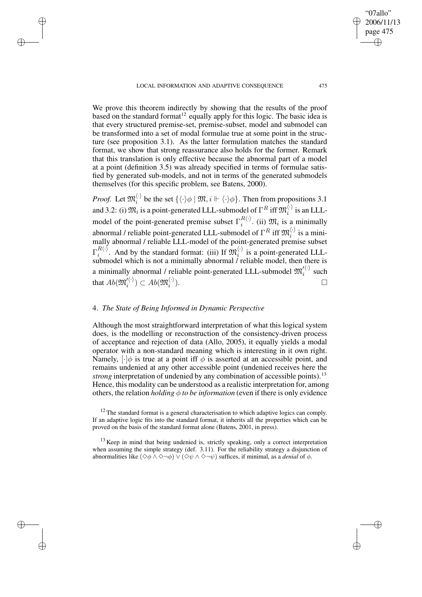✐

✐

✐

✐

We prove this theorem indirectly by showing that the results of the proof based on the standard format<sup>12</sup> equally apply for this logic. The basic idea is that every structured premise-set, premise-subset, model and submodel can be transformed into a set of modal formulae true at some point in the structure (see proposition 3.1). As the latter formulation matches the standard format, we show that strong reassurance also holds for the former. Remark that this translation is only effective because the abnormal part of a model at a point (definition 3.5) was already specified in terms of formulae satisfied by generated sub-models, and not in terms of the generated submodels themselves (for this specific problem, see Batens, 2000).

*Proof.* Let  $\mathfrak{M}_i^{\langle \cdot \rangle}$  $\binom{\binom{k}{i}}{k}$  be the set  $\{\langle \cdot \rangle \phi \mid \mathfrak{M}, i \Vdash \langle \cdot \rangle \phi\}$ . Then from propositions 3.1 and 3.2: (i)  $\mathfrak{M}_i$  is a point-generated LLL-submodel of  $\Gamma^R$  iff  $\mathfrak{M}_i^{\langle\cdot\rangle}$  $i^{\prime\prime}$  is an LLLmodel of the point-generated premise subset  $\Gamma_i^{R(\cdot)}$  $i^{(k)}$ . (ii)  $\mathfrak{M}_i$  is a minimally abnormal / reliable point-generated LLL-submodel of  $\Gamma^R$  iff  $\mathfrak{M}_i^{(\cdot)}$  $i'$  is a minimally abnormal / reliable LLL-model of the point-generated premise subset  $\Gamma^{R\langle\cdot\rangle}_i$  $\mathbb{R}^{R\langle\cdot\rangle}$ . And by the standard format: (iii) If  $\mathfrak{M}_i^{\langle\cdot\rangle}$  $i$  is a point-generated LLLsubmodel which is not a minimally abnormal / reliable model, then there is a minimally abnormal / reliable point-generated LLL-submodel  $\mathfrak{M}_i^{\prime(\cdot)}$  $i^{\prime\prime}$  such that  $Ab(\mathfrak{M}_i^{\langle\langle}\cdot\rangle)$  $\mathcal{C}^{\langle\cdot\rangle}_{i})\subset Ab(\mathfrak{M}^{\langle\cdot\rangle}_{i})$ i  $\Box$ 

## 4. *The State of Being Informed in Dynamic Perspective*

Although the most straightforward interpretation of what this logical system does, is the modelling or reconstruction of the consistency-driven process of acceptance and rejection of data (Allo, 2005), it equally yields a modal operator with a non-standard meaning which is interesting in it own right. Namely,  $[\cdot]\phi$  is true at a point iff  $\phi$  is asserted at an accessible point, and remains undenied at any other accessible point (undenied receives here the *strong* interpretation of undenied by any combination of accessible points).<sup>13</sup> Hence, this modality can be understood as a realistic interpretation for, among others, the relation *holding*  $\phi$  *to be information* (even if there is only evidence

"07allo" 2006/11/13 page 475

✐

✐

✐

 $12$  The standard format is a general characterisation to which adaptive logics can comply. If an adaptive logic fits into the standard format, it inherits all the properties which can be proved on the basis of the standard format alone (Batens, 2001, in press).

<sup>&</sup>lt;sup>13</sup> Keep in mind that being undenied is, strictly speaking, only a correct interpretation when assuming the simple strategy (def. 3.11). For the reliability strategy a disjunction of abnormalities like  $(\Diamond \phi \land \Diamond \neg \phi) \lor (\Diamond \psi \land \Diamond \neg \psi)$  suffices, if minimal, as a *denial* of  $\phi$ .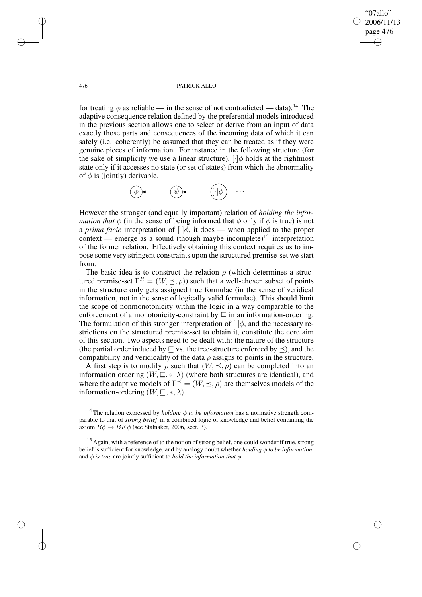"07allo" 2006/11/13 page 476 ✐ ✐

✐

✐

#### 476 PATRICK ALLO

for treating  $\phi$  as reliable — in the sense of not contradicted — data).<sup>14</sup> The adaptive consequence relation defined by the preferential models introduced in the previous section allows one to select or derive from an input of data exactly those parts and consequences of the incoming data of which it can safely (i.e. coherently) be assumed that they can be treated as if they were genuine pieces of information. For instance in the following structure (for the sake of simplicity we use a linear structure),  $\lceil \cdot \rceil \phi$  holds at the rightmost state only if it accesses no state (or set of states) from which the abnormality of  $\phi$  is (jointly) derivable.



However the stronger (and equally important) relation of *holding the information that*  $\phi$  (in the sense of being informed that  $\phi$  only if  $\phi$  is true) is not a *prima facie* interpretation of  $[\cdot]\phi$ , it does — when applied to the proper context — emerge as a sound (though maybe incomplete)<sup>15</sup> interpretation of the former relation. Effectively obtaining this context requires us to impose some very stringent constraints upon the structured premise-set we start from.

The basic idea is to construct the relation  $\rho$  (which determines a structured premise-set  $\Gamma^R = (W, \preceq, \rho)$  such that a well-chosen subset of points in the structure only gets assigned true formulae (in the sense of veridical information, not in the sense of logically valid formulae). This should limit the scope of nonmonotonicity within the logic in a way comparable to the enforcement of a monotonicity-constraint by  $\sqsubseteq$  in an information-ordering. The formulation of this stronger interpretation of  $[\cdot]\phi$ , and the necessary restrictions on the structured premise-set to obtain it, constitute the core aim of this section. Two aspects need to be dealt with: the nature of the structure (the partial order induced by  $\sqsubseteq$  vs. the tree-structure enforced by  $\preceq$ ), and the compatibility and veridicality of the data  $\rho$  assigns to points in the structure.

A first step is to modify  $\rho$  such that  $(W, \preceq, \rho)$  can be completed into an information ordering  $(W, \subseteq, *, \lambda)$  (where both structures are identical), and where the adaptive models of  $\Gamma^{\preceq} = (W, \preceq, \rho)$  are themselves models of the information-ordering  $(W, \square, *, \lambda)$ .

<sup>14</sup> The relation expressed by *holding*  $\phi$  *to be information* has a normative strength comparable to that of *strong belief* in a combined logic of knowledge and belief containing the axiom  $B\phi \rightarrow BK\phi$  (see Stalnaker, 2006, sect. 3).

<sup>15</sup> Again, with a reference of to the notion of strong belief, one could wonder if true, strong belief is sufficient for knowledge, and by analogy doubt whether *holding* φ *to be information*, and  $\phi$  *is true* are jointly sufficient to *hold the information that*  $\phi$ .

✐

✐

✐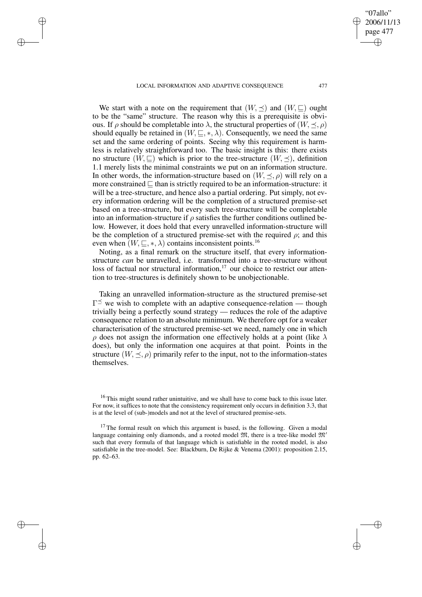✐

✐

✐

✐

We start with a note on the requirement that  $(W, \preceq)$  and  $(W, \sqsubset)$  ought to be the "same" structure. The reason why this is a prerequisite is obvious. If  $\rho$  should be completable into  $\lambda$ , the structural properties of  $(W, \prec, \rho)$ should equally be retained in  $(W, \subseteq, *, \lambda)$ . Consequently, we need the same set and the same ordering of points. Seeing why this requirement is harmless is relatively straightforward too. The basic insight is this: there exists no structure  $(W, \subseteq)$  which is prior to the tree-structure  $(W, \preceq)$ , definition 1.1 merely lists the minimal constraints we put on an information structure. In other words, the information-structure based on  $(W, \preceq, \rho)$  will rely on a more constrained  $\sqsubseteq$  than is strictly required to be an information-structure: it will be a tree-structure, and hence also a partial ordering. Put simply, not every information ordering will be the completion of a structured premise-set based on a tree-structure, but every such tree-structure will be completable into an information-structure if  $\rho$  satisfies the further conditions outlined below. However, it does hold that every unravelled information-structure will be the completion of a structured premise-set with the required  $\rho$ ; and this even when  $(W, \subseteq, *, \lambda)$  contains inconsistent points.<sup>16</sup>

Noting, as a final remark on the structure itself, that every informationstructure *can* be unravelled, i.e. transformed into a tree-structure without loss of factual nor structural information, $17$  our choice to restrict our attention to tree-structures is definitely shown to be unobjectionable.

Taking an unravelled information-structure as the structured premise-set  $\Gamma^{\preceq}$  we wish to complete with an adaptive consequence-relation — though trivially being a perfectly sound strategy — reduces the role of the adaptive consequence relation to an absolute minimum. We therefore opt for a weaker characterisation of the structured premise-set we need, namely one in which ρ does not assign the information one effectively holds at a point (like λ does), but only the information one acquires at that point. Points in the structure  $(W, \leq, \rho)$  primarily refer to the input, not to the information-states themselves.

"07allo" 2006/11/13 page 477

✐

✐

✐

<sup>&</sup>lt;sup>16</sup> This might sound rather unintuitive, and we shall have to come back to this issue later. For now, it suffices to note that the consistency requirement only occurs in definition 3.3, that is at the level of (sub-)models and not at the level of structured premise-sets.

 $17$  The formal result on which this argument is based, is the following. Given a modal language containing only diamonds, and a rooted model  $\mathfrak{M}$ , there is a tree-like model  $\mathfrak{M}^{\prime}$ such that every formula of that language which is satisfiable in the rooted model, is also satisfiable in the tree-model. See: Blackburn, De Rijke & Venema (2001): proposition 2.15, pp. 62–63.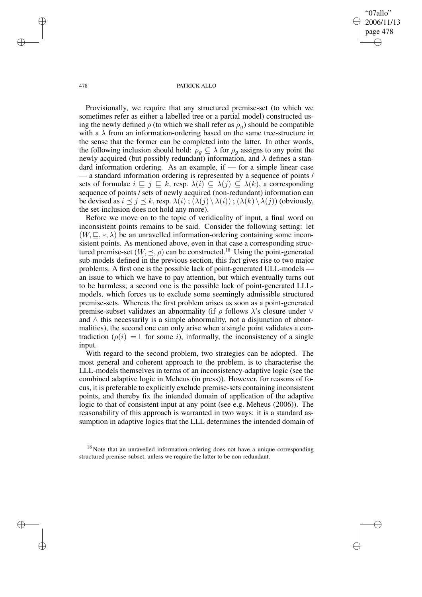"07allo" 2006/11/13 page 478 ✐ ✐

✐

✐

#### 478 PATRICK ALLO

Provisionally, we require that any structured premise-set (to which we sometimes refer as either a labelled tree or a partial model) constructed using the newly defined  $\rho$  (to which we shall refer as  $\rho_q$ ) should be compatible with a  $\lambda$  from an information-ordering based on the same tree-structure in the sense that the former can be completed into the latter. In other words, the following inclusion should hold:  $\rho_q \subseteq \lambda$  for  $\rho_q$  assigns to any point the newly acquired (but possibly redundant) information, and  $\lambda$  defines a standard information ordering. As an example, if — for a simple linear case — a standard information ordering is represented by a sequence of points / sets of formulae  $i \sqsubseteq j \sqsubseteq k$ , resp.  $\lambda(i) \subseteq \lambda(j) \subseteq \lambda(k)$ , a corresponding sequence of points / sets of newly acquired (non-redundant) information can be devised as  $i \leq j \leq k$ , resp.  $\lambda(i)$ ;  $(\lambda(j) \setminus \lambda(i))$ ;  $(\lambda(k) \setminus \lambda(j))$  (obviously, the set-inclusion does not hold any more).

Before we move on to the topic of veridicality of input, a final word on inconsistent points remains to be said. Consider the following setting: let  $(W, \subseteq, *, \lambda)$  be an unravelled information-ordering containing some inconsistent points. As mentioned above, even in that case a corresponding structured premise-set  $(W, \leq, \rho)$  can be constructed.<sup>18</sup> Using the point-generated sub-models defined in the previous section, this fact gives rise to two major problems. A first one is the possible lack of point-generated ULL-models an issue to which we have to pay attention, but which eventually turns out to be harmless; a second one is the possible lack of point-generated LLLmodels, which forces us to exclude some seemingly admissible structured premise-sets. Whereas the first problem arises as soon as a point-generated premise-subset validates an abnormality (if  $\rho$  follows  $\lambda$ 's closure under  $\vee$ and ∧ this necessarily is a simple abnormality, not a disjunction of abnormalities), the second one can only arise when a single point validates a contradiction ( $\rho(i) = \perp$  for some i), informally, the inconsistency of a single input.

With regard to the second problem, two strategies can be adopted. The most general and coherent approach to the problem, is to characterise the LLL-models themselves in terms of an inconsistency-adaptive logic (see the combined adaptive logic in Meheus (in press)). However, for reasons of focus, it is preferable to explicitly exclude premise-sets containing inconsistent points, and thereby fix the intended domain of application of the adaptive logic to that of consistent input at any point (see e.g. Meheus (2006)). The reasonability of this approach is warranted in two ways: it is a standard assumption in adaptive logics that the LLL determines the intended domain of

<sup>18</sup> Note that an unravelled information-ordering does not have a unique corresponding structured premise-subset, unless we require the latter to be non-redundant.

✐

✐

✐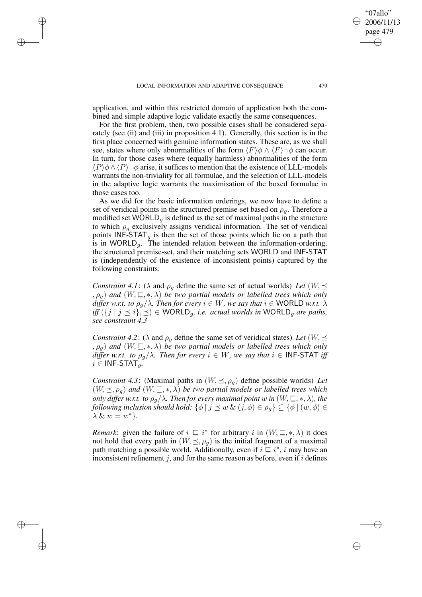✐

✐

✐

application, and within this restricted domain of application both the combined and simple adaptive logic validate exactly the same consequences.

For the first problem, then, two possible cases shall be considered separately (see (ii) and (iii) in proposition 4.1). Generally, this section is in the first place concerned with genuine information states. These are, as we shall see, states where only abnormalities of the form  $\langle F \rangle \phi \wedge \langle F \rangle \neg \phi$  can occur. In turn, for those cases where (equally harmless) abnormalities of the form  $\langle P \rangle \phi \wedge \langle P \rangle \neg \phi$  arise, it suffices to mention that the existence of LLL-models warrants the non-triviality for all formulae, and the selection of LLL-models in the adaptive logic warrants the maximisation of the boxed formulae in those cases too.

As we did for the basic information orderings, we now have to define a set of veridical points in the structured premise-set based on  $\rho_q$ . Therefore a modified set WORLD<sub>q</sub> is defined as the set of maximal paths in the structure to which  $\rho_g$  exclusively assigns veridical information. The set of veridical points  $INF-STAT_{g}$  is then the set of those points which lie on a path that is in WORLD<sub>q</sub>. The intended relation between the information-ordering, the structured premise-set, and their matching sets WORLD and INF-STAT is (independently of the existence of inconsistent points) captured by the following constraints:

*Constraint* 4.1: ( $\lambda$  and  $\rho_q$  define the same set of actual worlds) Let  $(W, \preceq)$  $(\rho_q)$  *and*  $(W, \subseteq, *, \lambda)$  *be two partial models or labelled trees which only differ w.r.t. to*  $\rho_q/\lambda$ *. Then for every*  $i \in W$ *, we say that*  $i \in WORLD$  *w.r.t.*  $\lambda$ *iff*  $({j | j ≤ i}, ≤) ∈ WORLD_g$ , *i.e. actual worlds in*  $WORLD_g$  *are paths, see constraint 4.3*

*Constraint* 4.2: ( $\lambda$  and  $\rho_g$  define the same set of veridical states) *Let* ( $W$ ,  $\preceq$  $(\rho_q)$  *and*  $(W, \subseteq, *, \lambda)$  *be two partial models or labelled trees which only differ w.r.t. to*  $\rho_q/\lambda$ *. Then for every*  $i \in W$ *, we say that*  $i \in \text{INF-STAT}$  *iff*  $i \in \text{INF-STAT}_q$ .

*Constraint* 4.3: (Maximal paths in  $(W, \leq, \rho_q)$  define possible worlds) Let  $(W, \leq, \rho_g)$  *and*  $(W, \subseteq, *, \lambda)$  *be two partial models or labelled trees which only differ w.r.t. to*  $\rho_g/\lambda$ *. Then for every maximal point* w *in*  $(W, \subseteq, *, \lambda)$ *, the following inclusion should hold:*  $\{\phi \mid j \leq w \& (j, \phi) \in \rho_q\} \subseteq \{\phi \mid (w, \phi) \in$  $\lambda \& w = w^*$ .

*Remark*: given the failure of  $i \subseteq i^*$  for arbitrary i in  $(W, \subseteq, *, \lambda)$  it does not hold that every path in  $(W, \leq, \rho_g)$  is the initial fragment of a maximal path matching a possible world. Additionally, even if  $i \subseteq i^*$ , i may have an inconsistent refinement j, and for the same reason as before, even if  $i$  defines

"07allo" 2006/11/13 page 479

✐

✐

✐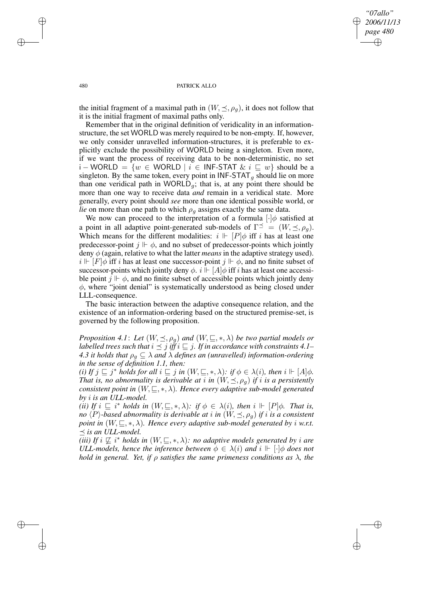*"07allo" 2006/11/13 page 480* ✐ ✐

✐

✐

#### 480 PATRICK ALLO

the initial fragment of a maximal path in  $(W, \leq, \rho_q)$ , it does not follow that it is the initial fragment of maximal paths only.

Remember that in the original definition of veridicality in an informationstructure, the set WORLD was merely required to be non-empty. If, however, we only consider unravelled information-structures, it is preferable to explicitly exclude the possibility of WORLD being a singleton. Even more, if we want the process of receiving data to be non-deterministic, no set i – WORLD =  $\{w \in \text{WORLD} \mid i \in \text{INF-STAT} \& i \sqsubseteq w\}$  should be a singleton. By the same token, every point in  $INF-STAT_{q}$  should lie on more than one veridical path in WORLD<sub>a</sub>; that is, at any point there should be more than one way to receive data *and* remain in a veridical state. More generally, every point should *see* more than one identical possible world, or *lie* on more than one path to which  $\rho_q$  assigns exactly the same data.

We now can proceed to the interpretation of a formula  $\lceil \cdot \rceil \phi$  satisfied at a point in all adaptive point-generated sub-models of  $\Gamma^{\preceq} = (W, \preceq, \rho_g)$ . Which means for the different modalities:  $i \Vdash [P]\phi$  iff i has at least one predecessor-point  $j \Vdash \phi$ , and no subset of predecessor-points which jointly deny  $\phi$  (again, relative to what the latter *means* in the adaptive strategy used).  $i \Vdash [F] \phi$  iff i has at least one successor-point  $j \Vdash \phi$ , and no finite subset of successor-points which jointly deny  $\phi$ .  $i \Vdash [A]\phi$  iff i has at least one accessible point  $j \Vdash \phi$ , and no finite subset of accessible points which jointly deny  $\phi$ , where "joint denial" is systematically understood as being closed under LLL-consequence.

The basic interaction between the adaptive consequence relation, and the existence of an information-ordering based on the structured premise-set, is governed by the following proposition.

*Proposition* 4.1: Let  $(W, \leq, \rho_g)$  and  $(W, \subseteq, *, \lambda)$  be two partial models or *labelled trees such that*  $i \leq j$  *iff*  $i \subseteq j$ *. If in accordance with constraints* 4.1– *4.3 it holds that*  $\rho_q \subseteq \lambda$  *and*  $\lambda$  *defines an (unravelled) information-ordering in the sense of definition 1.1, then:*

*(i)* If  $j \sqsubseteq j^*$  holds for all  $i \sqsubseteq j$  in  $(W, \sqsubseteq, *, \lambda)$ : if  $\phi \in \lambda(i)$ , then  $i \Vdash [A]\phi$ . *That is, no abnormality is derivable at i in*  $(W, \preceq, \rho_q)$  *if i is a persistently consistent point in*  $(W, \subseteq, *, \lambda)$ *. Hence every adaptive sub-model generated by* i *is an ULL-model.*

*(ii) If*  $i \subseteq i^*$  *holds in*  $(W, \subseteq, *, \lambda)$ *: if*  $\phi \in \lambda(i)$ *, then*  $i \Vdash [P]\phi$ *. That is, no*  $\langle P \rangle$ *-based abnormality is derivable at i in*  $(W, \preceq, \rho_g)$  *if i is a consistent point* in  $(W, \subseteq, *, \lambda)$ *. Hence every adaptive sub-model generated by i w.r.t.*  $\preceq$  *is an ULL-model.* 

*(iii)* If  $i \nsubseteq i^*$  holds in  $(W, \subseteq, *, \lambda)$ : no adaptive models generated by i are *ULL-models, hence the inference between*  $\phi \in \lambda(i)$  *and*  $i \Vdash [\cdot] \phi$  *does not hold in general. Yet, if* ρ *satisfies the same primeness conditions as* λ*, the*

✐

✐

✐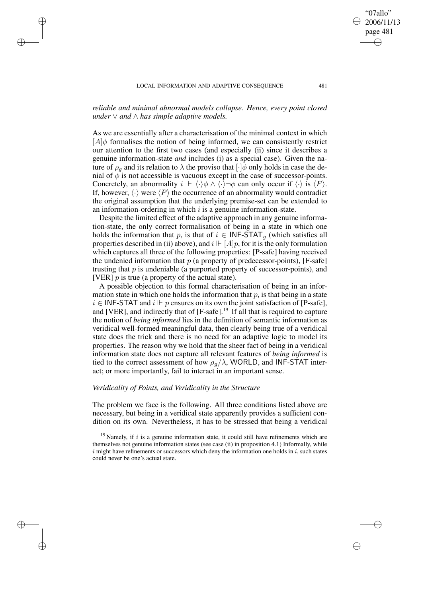✐

✐

✐

*reliable and minimal abnormal models collapse. Hence, every point closed under* ∨ *and* ∧ *has simple adaptive models.*

As we are essentially after a characterisation of the minimal context in which  $[A]\phi$  formalises the notion of being informed, we can consistently restrict our attention to the first two cases (and especially (ii) since it describes a genuine information-state *and* includes (i) as a special case). Given the nature of  $\rho_q$  and its relation to  $\lambda$  the proviso that  $\lceil \cdot \rceil \phi$  only holds in case the denial of  $\phi$  is not accessible is vacuous except in the case of successor-points. Concretely, an abnormality  $i \Vdash \langle \cdot \rangle \phi \wedge \langle \cdot \rangle \neg \phi$  can only occur if  $\langle \cdot \rangle$  is  $\langle F \rangle$ . If, however,  $\langle \cdot \rangle$  were  $\langle P \rangle$  the occurrence of an abnormality would contradict the original assumption that the underlying premise-set can be extended to an information-ordering in which  $i$  is a genuine information-state.

Despite the limited effect of the adaptive approach in any genuine information-state, the only correct formalisation of being in a state in which one holds the information that p, is that of  $i \in \text{INF-STAT}_g$  (which satisfies all properties described in (ii) above), and  $i \Vdash [A]p$ , for it is the only formulation which captures all three of the following properties: [P-safe] having received the undenied information that  $p$  (a property of predecessor-points), [F-safe] trusting that  $p$  is undeniable (a purported property of successor-points), and [VER]  $p$  is true (a property of the actual state).

A possible objection to this formal characterisation of being in an information state in which one holds the information that  $p$ , is that being in a state  $i \in \text{INF-STAT}$  and  $i \Vdash p$  ensures on its own the joint satisfaction of [P-safe], and [VER], and indirectly that of [F-safe].<sup>19</sup> If all that is required to capture the notion of *being informed* lies in the definition of semantic information as veridical well-formed meaningful data, then clearly being true of a veridical state does the trick and there is no need for an adaptive logic to model its properties. The reason why we hold that the sheer fact of being in a veridical information state does not capture all relevant features of *being informed* is tied to the correct assessment of how  $\rho_q/\lambda$ , WORLD, and INF-STAT interact; or more importantly, fail to interact in an important sense.

## *Veridicality of Points, and Veridicality in the Structure*

The problem we face is the following. All three conditions listed above are necessary, but being in a veridical state apparently provides a sufficient condition on its own. Nevertheless, it has to be stressed that being a veridical

"07allo" 2006/11/13 page 481

✐

✐

✐

 $19$  Namely, if i is a genuine information state, it could still have refinements which are themselves not genuine information states (see case (ii) in proposition 4.1) Informally, while  $i$  might have refinements or successors which deny the information one holds in  $i$ , such states could never be one's actual state.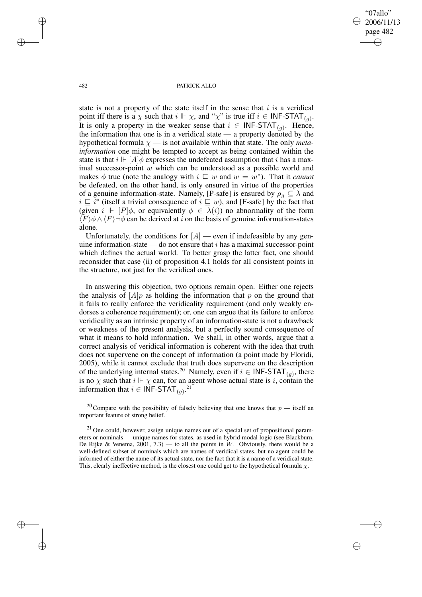"07allo" 2006/11/13 page 482 ✐ ✐

✐

✐

482 PATRICK ALLO

state is not a property of the state itself in the sense that  $i$  is a veridical point iff there is a  $\chi$  such that  $i \Vdash \chi$ , and " $\chi$ " is true iff  $i \in \mathsf{INF-STAT}_{(g)}$ . It is only a property in the weaker sense that  $i \in \mathsf{INF-STAT}_{(g)}$ . Hence, the information that one is in a veridical state — a property denoted by the hypothetical formula  $\chi$  — is not available within that state. The only *metainformation* one might be tempted to accept as being contained within the state is that  $i \Vdash [A]\phi$  expresses the undefeated assumption that i has a maximal successor-point w which can be understood as a possible world and makes  $\phi$  true (note the analogy with  $i \sqsubseteq w$  and  $w = w^*$ ). That it *cannot* be defeated, on the other hand, is only ensured in virtue of the properties of a genuine information-state. Namely, [P-safe] is ensured by  $\rho_g \subseteq \lambda$  and  $i \sqsubseteq i^*$  (itself a trivial consequence of  $i \sqsubseteq w$ ), and [F-safe] by the fact that (given  $i \Vdash [P]\phi$ , or equivalently  $\phi \in \lambda(i)$ ) no abnormality of the form  $\langle F \rangle \phi \wedge \langle F \rangle \neg \phi$  can be derived at i on the basis of genuine information-states alone.

Unfortunately, the conditions for  $[A]$  — even if indefeasible by any genuine information-state — do not ensure that  $i$  has a maximal successor-point which defines the actual world. To better grasp the latter fact, one should reconsider that case (ii) of proposition 4.1 holds for all consistent points in the structure, not just for the veridical ones.

In answering this objection, two options remain open. Either one rejects the analysis of  $[A]_p$  as holding the information that p on the ground that it fails to really enforce the veridicality requirement (and only weakly endorses a coherence requirement); or, one can argue that its failure to enforce veridicality as an intrinsic property of an information-state is not a drawback or weakness of the present analysis, but a perfectly sound consequence of what it means to hold information. We shall, in other words, argue that a correct analysis of veridical information is coherent with the idea that truth does not supervene on the concept of information (a point made by Floridi, 2005), while it cannot exclude that truth does supervene on the description of the underlying internal states.<sup>20</sup> Namely, even if  $i \in \mathsf{INF-STAT}_{(g)}$ , there is no  $\chi$  such that  $i \Vdash \chi$  can, for an agent whose actual state is i, contain the information that  $i \in \text{INF-STAT}_{(g)}$ .<sup>21</sup>

<sup>20</sup> Compare with the possibility of falsely believing that one knows that  $p$  — itself an important feature of strong belief.

 $21$  One could, however, assign unique names out of a special set of propositional parameters or nominals — unique names for states, as used in hybrid modal logic (see Blackburn, De Rijke & Venema,  $2001, 7.3$  — to all the points in W. Obviously, there would be a well-defined subset of nominals which are names of veridical states, but no agent could be informed of either the name of its actual state, nor the fact that it is a name of a veridical state. This, clearly ineffective method, is the closest one could get to the hypothetical formula  $\chi$ .

✐

✐

✐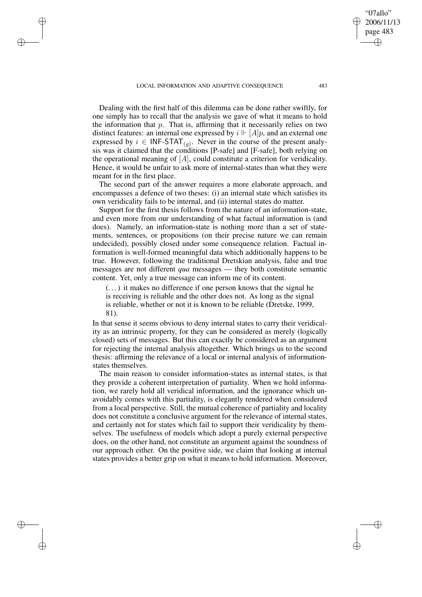✐

✐

✐

Dealing with the first half of this dilemma can be done rather swiftly, for one simply has to recall that the analysis we gave of what it means to hold the information that  $p$ . That is, affirming that it necessarily relies on two distinct features: an internal one expressed by  $i \Vdash [A]p$ , and an external one expressed by  $i \in \mathsf{INF}\text{-}\mathsf{STAT}_{(g)}$ . Never in the course of the present analysis was it claimed that the conditions [P-safe] and [F-safe], both relying on the operational meaning of  $[A]$ , could constitute a criterion for veridicality. Hence, it would be unfair to ask more of internal-states than what they were meant for in the first place.

The second part of the answer requires a more elaborate approach, and encompasses a defence of two theses: (i) an internal state which satisfies its own veridicality fails to be internal, and (ii) internal states do matter.

Support for the first thesis follows from the nature of an information-state, and even more from our understanding of what factual information is (and does). Namely, an information-state is nothing more than a set of statements, sentences, or propositions (on their precise nature we can remain undecided), possibly closed under some consequence relation. Factual information is well-formed meaningful data which additionally happens to be true. However, following the traditional Dretskian analysis, false and true messages are not different *qua* messages — they both constitute semantic content. Yet, only a true message can inform me of its content.

(. . .) it makes no difference if one person knows that the signal he is receiving is reliable and the other does not. As long as the signal is reliable, whether or not it is known to be reliable (Dretske, 1999, 81).

In that sense it seems obvious to deny internal states to carry their veridicality as an intrinsic property, for they can be considered as merely (logically closed) sets of messages. But this can exactly be considered as an argument for rejecting the internal analysis altogether. Which brings us to the second thesis: affirming the relevance of a local or internal analysis of informationstates themselves.

The main reason to consider information-states as internal states, is that they provide a coherent interpretation of partiality. When we hold information, we rarely hold all veridical information, and the ignorance which unavoidably comes with this partiality, is elegantly rendered when considered from a local perspective. Still, the mutual coherence of partiality and locality does not constitute a conclusive argument for the relevance of internal states, and certainly not for states which fail to support their veridicality by themselves. The usefulness of models which adopt a purely external perspective does, on the other hand, not constitute an argument against the soundness of our approach either. On the positive side, we claim that looking at internal states provides a better grip on what it means to hold information. Moreover,

"07allo" 2006/11/13 page 483

✐

✐

✐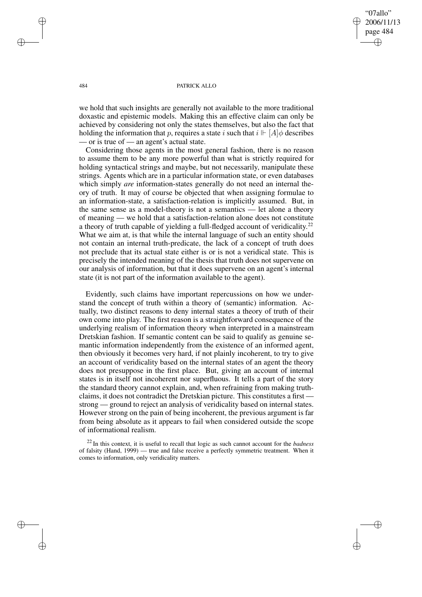"07allo" 2006/11/13 page 484 ✐ ✐

✐

✐

### 484 PATRICK ALLO

we hold that such insights are generally not available to the more traditional doxastic and epistemic models. Making this an effective claim can only be achieved by considering not only the states themselves, but also the fact that holding the information that p, requires a state i such that  $i \Vdash [A]\phi$  describes — or is true of — an agent's actual state.

Considering those agents in the most general fashion, there is no reason to assume them to be any more powerful than what is strictly required for holding syntactical strings and maybe, but not necessarily, manipulate these strings. Agents which are in a particular information state, or even databases which simply *are* information-states generally do not need an internal theory of truth. It may of course be objected that when assigning formulae to an information-state, a satisfaction-relation is implicitly assumed. But, in the same sense as a model-theory is not a semantics — let alone a theory of meaning — we hold that a satisfaction-relation alone does not constitute a theory of truth capable of yielding a full-fledged account of veridicality.<sup>22</sup> What we aim at, is that while the internal language of such an entity should not contain an internal truth-predicate, the lack of a concept of truth does not preclude that its actual state either is or is not a veridical state. This is precisely the intended meaning of the thesis that truth does not supervene on our analysis of information, but that it does supervene on an agent's internal state (it is not part of the information available to the agent).

Evidently, such claims have important repercussions on how we understand the concept of truth within a theory of (semantic) information. Actually, two distinct reasons to deny internal states a theory of truth of their own come into play. The first reason is a straightforward consequence of the underlying realism of information theory when interpreted in a mainstream Dretskian fashion. If semantic content can be said to qualify as genuine semantic information independently from the existence of an informed agent, then obviously it becomes very hard, if not plainly incoherent, to try to give an account of veridicality based on the internal states of an agent the theory does not presuppose in the first place. But, giving an account of internal states is in itself not incoherent nor superfluous. It tells a part of the story the standard theory cannot explain, and, when refraining from making truthclaims, it does not contradict the Dretskian picture. This constitutes a first strong — ground to reject an analysis of veridicality based on internal states. However strong on the pain of being incoherent, the previous argument is far from being absolute as it appears to fail when considered outside the scope of informational realism.

<sup>22</sup> In this context, it is useful to recall that logic as such cannot account for the *badness* of falsity (Hand, 1999) — true and false receive a perfectly symmetric treatment. When it comes to information, only veridicality matters.

✐

✐

✐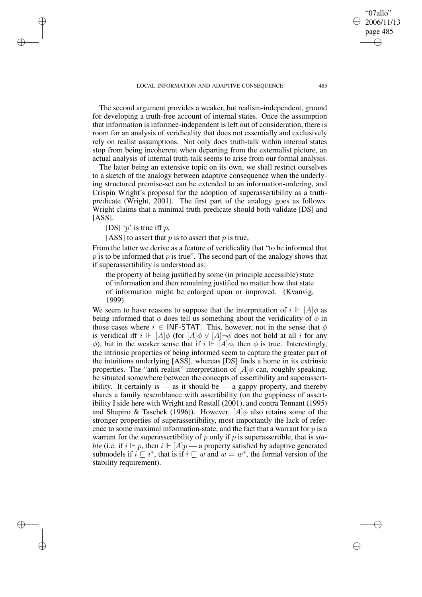The second argument provides a weaker, but realism-independent, ground for developing a truth-free account of internal states. Once the assumption that information is informee-independent is left out of consideration, there is room for an analysis of veridicality that does not essentially and exclusively rely on realist assumptions. Not only does truth-talk within internal states stop from being incoherent when departing from the externalist picture, an actual analysis of internal truth-talk seems to arise from our formal analysis.

The latter being an extensive topic on its own, we shall restrict ourselves to a sketch of the analogy between adaptive consequence when the underlying structured premise-set can be extended to an information-ordering, and Crispin Wright's proposal for the adoption of superassertibility as a truthpredicate (Wright, 2001). The first part of the analogy goes as follows. Wright claims that a minimal truth-predicate should both validate [DS] and [ASS].

[DS] ' $p$ ' is true iff  $p$ ,

✐

✐

✐

✐

[ASS] to assert that  $p$  is to assert that  $p$  is true,

From the latter we derive as a feature of veridicality that "to be informed that  $p$  is to be informed that  $p$  is true". The second part of the analogy shows that if superassertibility is understood as:

the property of being justified by some (in principle accessible) state of information and then remaining justified no matter how that state of information might be enlarged upon or improved. (Kvanvig, 1999)

We seem to have reasons to suppose that the interpretation of  $i \Vdash [A]\phi$  as being informed that  $\phi$  does tell us something about the veridicality of  $\phi$  in those cases where  $i \in \text{INF-STAT}$ . This, however, not in the sense that  $\phi$ is veridical iff  $i \Vdash [A] \phi$  (for  $[A] \phi \lor [A] \phi$  does not hold at all i for any φ), but in the weaker sense that if  $i \Vdash [A] \phi$ , then φ is true. Interestingly, the intrinsic properties of being informed seem to capture the greater part of the intuitions underlying [ASS], whereas [DS] finds a home in its extrinsic properties. The "anti-realist" interpretation of  $[A]\phi$  can, roughly speaking, be situated somewhere between the concepts of assertibility and superassertibility. It certainly is  $-$  as it should be  $-$  a gappy property, and thereby shares a family resemblance with assertibility (on the gappiness of assertibility I side here with Wright and Restall (2001), and contra Tennant (1995) and Shapiro & Taschek (1996)). However,  $[A]\phi$  also retains some of the stronger properties of superassertibility, most importantly the lack of reference to some maximal information-state, and the fact that a warrant for  $p$  is a warrant for the superassertibility of p only if p is superassertible, that is *stable* (i.e. if  $i \Vdash p$ , then  $i \Vdash [A]p$  — a property satisfied by adaptive generated submodels if  $i \subseteq i^*$ , that is if  $i \subseteq w$  and  $w = w^*$ , the formal version of the stability requirement).

"07allo" 2006/11/13 page 485

✐

✐

✐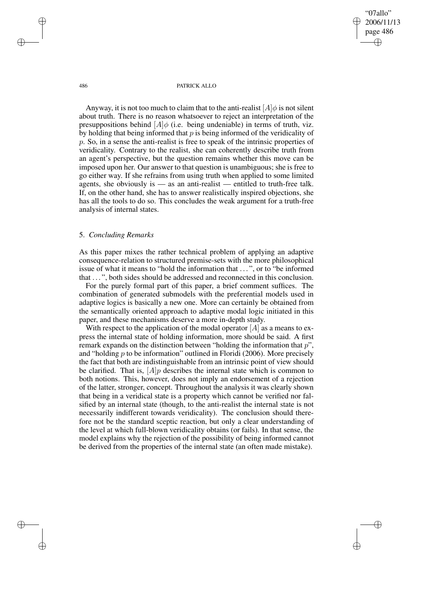"07allo" 2006/11/13 page 486 ✐ ✐

✐

✐

#### 486 PATRICK ALLO

Anyway, it is not too much to claim that to the anti-realist  $[A]\phi$  is not silent about truth. There is no reason whatsoever to reject an interpretation of the presuppositions behind  $[A]\phi$  (i.e. being undeniable) in terms of truth, viz. by holding that being informed that  $p$  is being informed of the veridicality of p. So, in a sense the anti-realist is free to speak of the intrinsic properties of veridicality. Contrary to the realist, she can coherently describe truth from an agent's perspective, but the question remains whether this move can be imposed upon her. Our answer to that question is unambiguous; she is free to go either way. If she refrains from using truth when applied to some limited agents, she obviously is — as an anti-realist — entitled to truth-free talk. If, on the other hand, she has to answer realistically inspired objections, she has all the tools to do so. This concludes the weak argument for a truth-free analysis of internal states.

## 5. *Concluding Remarks*

As this paper mixes the rather technical problem of applying an adaptive consequence-relation to structured premise-sets with the more philosophical issue of what it means to "hold the information that ...", or to "be informed that ...", both sides should be addressed and reconnected in this conclusion.

For the purely formal part of this paper, a brief comment suffices. The combination of generated submodels with the preferential models used in adaptive logics is basically a new one. More can certainly be obtained from the semantically oriented approach to adaptive modal logic initiated in this paper, and these mechanisms deserve a more in-depth study.

With respect to the application of the modal operator  $[A]$  as a means to express the internal state of holding information, more should be said. A first remark expands on the distinction between "holding the information that  $p$ ", and "holding  $p$  to be information" outlined in Floridi (2006). More precisely the fact that both are indistinguishable from an intrinsic point of view should be clarified. That is,  $[A]$ *p* describes the internal state which is common to both notions. This, however, does not imply an endorsement of a rejection of the latter, stronger, concept. Throughout the analysis it was clearly shown that being in a veridical state is a property which cannot be verified nor falsified by an internal state (though, to the anti-realist the internal state is not necessarily indifferent towards veridicality). The conclusion should therefore not be the standard sceptic reaction, but only a clear understanding of the level at which full-blown veridicality obtains (or fails). In that sense, the model explains why the rejection of the possibility of being informed cannot be derived from the properties of the internal state (an often made mistake).

✐

✐

✐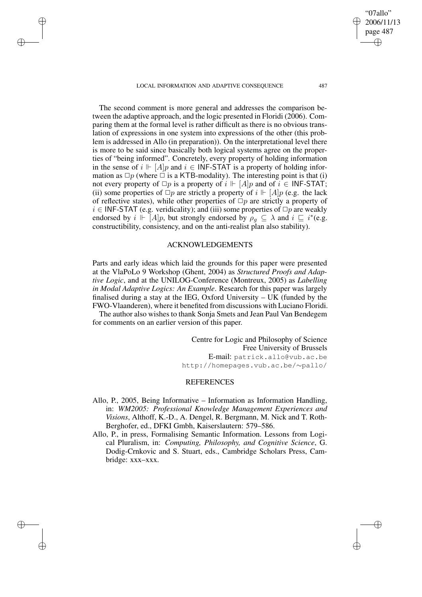✐

✐

✐

✐

2006/11/13 page 487 ✐ ✐

✐

✐

"07allo"

The second comment is more general and addresses the comparison between the adaptive approach, and the logic presented in Floridi (2006). Comparing them at the formal level is rather difficult as there is no obvious translation of expressions in one system into expressions of the other (this problem is addressed in Allo (in preparation)). On the interpretational level there is more to be said since basically both logical systems agree on the properties of "being informed". Concretely, every property of holding information in the sense of  $i \Vdash [A]p$  and  $i \in \text{INF-STAT}$  is a property of holding information as  $\Box p$  (where  $\Box$  is a KTB-modality). The interesting point is that (i) not every property of  $\Box p$  is a property of  $i \Vdash [A]p$  and of  $i \in \mathsf{INF-STAT}$ ; (ii) some properties of  $\Box p$  are strictly a property of  $i \Vdash [A]p$  (e.g. the lack of reflective states), while other properties of  $\Box p$  are strictly a property of  $i \in \text{INF-STAT}$  (e.g. veridicality); and (iii) some properties of  $\Box p$  are weakly endorsed by  $i \Vdash [A]p$ , but strongly endorsed by  $\rho_g \subseteq \lambda$  and  $i \sqsubseteq i^*(e.g.,$ constructibility, consistency, and on the anti-realist plan also stability).

# ACKNOWLEDGEMENTS

Parts and early ideas which laid the grounds for this paper were presented at the VlaPoLo 9 Workshop (Ghent, 2004) as *Structured Proofs and Adaptive Logic*, and at the UNILOG-Conference (Montreux, 2005) as *Labelling in Modal Adaptive Logics: An Example*. Research for this paper was largely finalised during a stay at the IEG, Oxford University – UK (funded by the FWO-Vlaanderen), where it benefited from discussions with Luciano Floridi.

The author also wishes to thank Sonja Smets and Jean Paul Van Bendegem for comments on an earlier version of this paper.

> Centre for Logic and Philosophy of Science Free University of Brussels E-mail: patrick.allo@vub.ac.be http://homepages.vub.ac.be/∼pallo/

### REFERENCES

- Allo, P., 2005, Being Informative Information as Information Handling, in: *WM2005: Professional Knowledge Management Experiences and Visions*, Althoff, K.-D., A. Dengel, R. Bergmann, M. Nick and T. Roth-Berghofer, ed., DFKI Gmbh, Kaiserslautern: 579–586.
- Allo, P., in press, Formalising Semantic Information. Lessons from Logical Pluralism, in: *Computing, Philosophy, and Cognitive Science*, G. Dodig-Crnkovic and S. Stuart, eds., Cambridge Scholars Press, Cambridge: xxx–xxx.